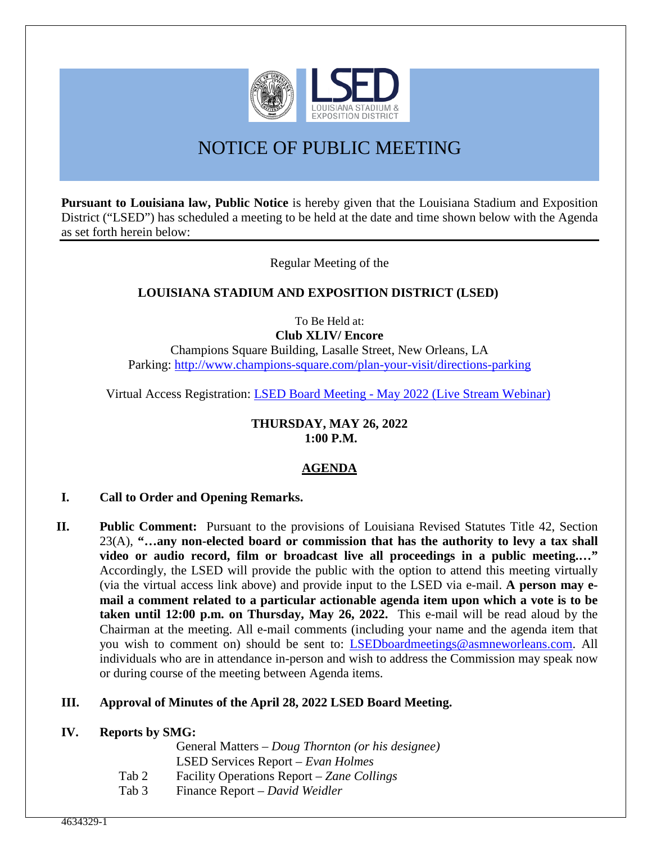

# NOTICE OF PUBLIC MEETING

**Pursuant to Louisiana law, Public Notice** is hereby given that the Louisiana Stadium and Exposition District ("LSED") has scheduled a meeting to be held at the date and time shown below with the Agenda as set forth herein below:

Regular Meeting of the

# **LOUISIANA STADIUM AND EXPOSITION DISTRICT (LSED)**

To Be Held at: **Club XLIV/ Encore** 

Champions Square Building, Lasalle Street, New Orleans, LA Parking:<http://www.champions-square.com/plan-your-visit/directions-parking>

Virtual Access Registration: [LSED Board Meeting - May 2022 \(Live Stream Webinar\)](https://protect-us.mimecast.com/s/wRScCqxVLwSOXWE7UXa9si?domain=teams.microsoft.com)

#### **THURSDAY, MAY 26, 2022 1:00 P.M.**

# **AGENDA**

## **I. Call to Order and Opening Remarks.**

**II. Public Comment:** Pursuant to the provisions of Louisiana Revised Statutes Title 42, Section 23(A), **"…any non-elected board or commission that has the authority to levy a tax shall video or audio record, film or broadcast live all proceedings in a public meeting.…"** Accordingly, the LSED will provide the public with the option to attend this meeting virtually (via the virtual access link above) and provide input to the LSED via e-mail. **A person may email a comment related to a particular actionable agenda item upon which a vote is to be taken until 12:00 p.m. on Thursday, May 26, 2022.** This e-mail will be read aloud by the Chairman at the meeting. All e-mail comments (including your name and the agenda item that you wish to comment on) should be sent to: *LSEDboardmeetings@asmneworleans.com*. All individuals who are in attendance in-person and wish to address the Commission may speak now or during course of the meeting between Agenda items.

## **III. Approval of Minutes of the April 28, 2022 LSED Board Meeting.**

# **IV. Reports by SMG:**

 General Matters – *Doug Thornton (or his designee)* LSED Services Report – *Evan Holmes* 

- Tab 2 Facility Operations Report *Zane Collings*
- Tab 3 Finance Report *David Weidler*

ֺ֖֚֝֬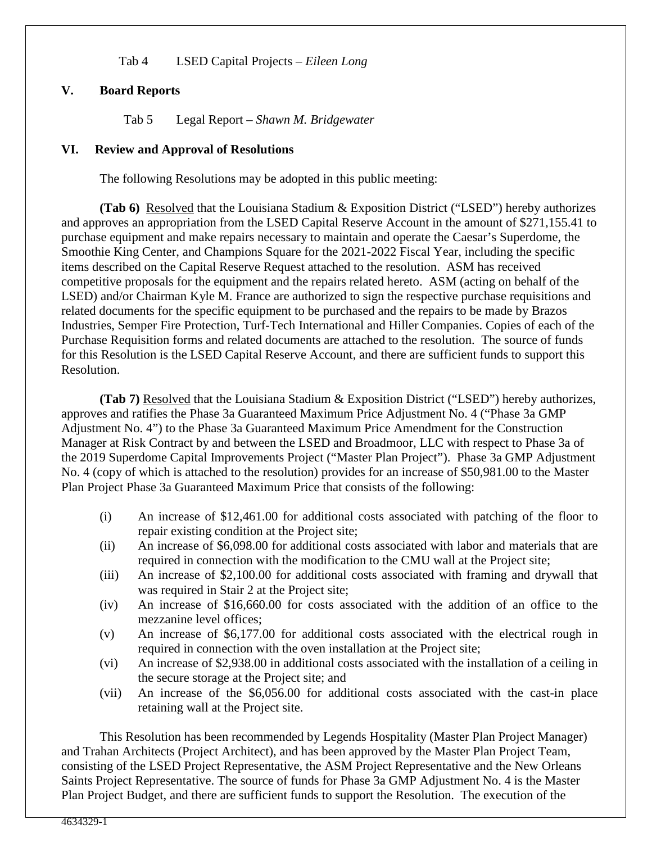Tab 4 LSED Capital Projects – *Eileen Long*

## **V. Board Reports**

Tab 5 Legal Report – *Shawn M. Bridgewater* 

#### **VI. Review and Approval of Resolutions**

The following Resolutions may be adopted in this public meeting:

**(Tab 6)** Resolved that the Louisiana Stadium & Exposition District ("LSED") hereby authorizes and approves an appropriation from the LSED Capital Reserve Account in the amount of \$271,155.41 to purchase equipment and make repairs necessary to maintain and operate the Caesar's Superdome, the Smoothie King Center, and Champions Square for the 2021-2022 Fiscal Year, including the specific items described on the Capital Reserve Request attached to the resolution. ASM has received competitive proposals for the equipment and the repairs related hereto. ASM (acting on behalf of the LSED) and/or Chairman Kyle M. France are authorized to sign the respective purchase requisitions and related documents for the specific equipment to be purchased and the repairs to be made by Brazos Industries, Semper Fire Protection, Turf-Tech International and Hiller Companies. Copies of each of the Purchase Requisition forms and related documents are attached to the resolution. The source of funds for this Resolution is the LSED Capital Reserve Account, and there are sufficient funds to support this Resolution.

**(Tab 7)** Resolved that the Louisiana Stadium & Exposition District ("LSED") hereby authorizes, approves and ratifies the Phase 3a Guaranteed Maximum Price Adjustment No. 4 ("Phase 3a GMP Adjustment No. 4") to the Phase 3a Guaranteed Maximum Price Amendment for the Construction Manager at Risk Contract by and between the LSED and Broadmoor, LLC with respect to Phase 3a of the 2019 Superdome Capital Improvements Project ("Master Plan Project"). Phase 3a GMP Adjustment No. 4 (copy of which is attached to the resolution) provides for an increase of \$50,981.00 to the Master Plan Project Phase 3a Guaranteed Maximum Price that consists of the following:

- (i) An increase of \$12,461.00 for additional costs associated with patching of the floor to repair existing condition at the Project site;
- (ii) An increase of \$6,098.00 for additional costs associated with labor and materials that are required in connection with the modification to the CMU wall at the Project site;
- (iii) An increase of \$2,100.00 for additional costs associated with framing and drywall that was required in Stair 2 at the Project site;
- (iv) An increase of \$16,660.00 for costs associated with the addition of an office to the mezzanine level offices;
- (v) An increase of \$6,177.00 for additional costs associated with the electrical rough in required in connection with the oven installation at the Project site;
- (vi) An increase of \$2,938.00 in additional costs associated with the installation of a ceiling in the secure storage at the Project site; and
- (vii) An increase of the \$6,056.00 for additional costs associated with the cast-in place retaining wall at the Project site.

This Resolution has been recommended by Legends Hospitality (Master Plan Project Manager) and Trahan Architects (Project Architect), and has been approved by the Master Plan Project Team, consisting of the LSED Project Representative, the ASM Project Representative and the New Orleans Saints Project Representative. The source of funds for Phase 3a GMP Adjustment No. 4 is the Master Plan Project Budget, and there are sufficient funds to support the Resolution. The execution of the